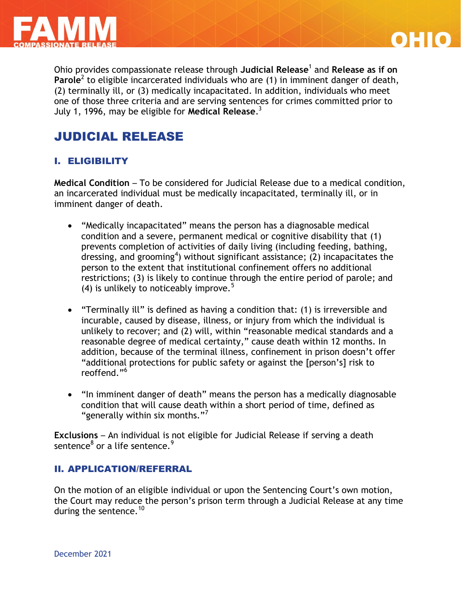



Ohio provides compassionate release through **Judicial Release**<sup>1</sup> and **Release as if on**  Parole<sup>2</sup> to eligible incarcerated individuals who are (1) in imminent danger of death, (2) terminally ill, or (3) medically incapacitated. In addition, individuals who meet one of those three criteria and are serving sentences for crimes committed prior to July 1, 1996, may be eligible for **Medical Release**. 3

# JUDICIAL RELEASE

## I. ELIGIBILITY

**Medical Condition** – To be considered for Judicial Release due to a medical condition, an incarcerated individual must be medically incapacitated, terminally ill, or in imminent danger of death.

- "Medically incapacitated" means the person has a diagnosable medical condition and a severe, permanent medical or cognitive disability that (1) prevents completion of activities of daily living (including feeding, bathing, dressing, and grooming<sup>4</sup>) without significant assistance; (2) incapacitates the person to the extent that institutional confinement offers no additional restrictions; (3) is likely to continue through the entire period of parole; and (4) is unlikely to noticeably improve.<sup>5</sup>
- "Terminally ill" is defined as having a condition that: (1) is irreversible and incurable, caused by disease, illness, or injury from which the individual is unlikely to recover; and (2) will, within "reasonable medical standards and a reasonable degree of medical certainty," cause death within 12 months. In addition, because of the terminal illness, confinement in prison doesn't offer "additional protections for public safety or against the [person's] risk to reoffend<sup>"6</sup>
- "In imminent danger of death" means the person has a medically diagnosable condition that will cause death within a short period of time, defined as "generally within six months."<sup>7</sup>

**Exclusions** – An individual is not eligible for Judicial Release if serving a death sentence $^8$  or a life sentence. $^9$ 

### II. APPLICATION/REFERRAL

On the motion of an eligible individual or upon the Sentencing Court's own motion, the Court may reduce the person's prison term through a Judicial Release at any time during the sentence.<sup>10</sup>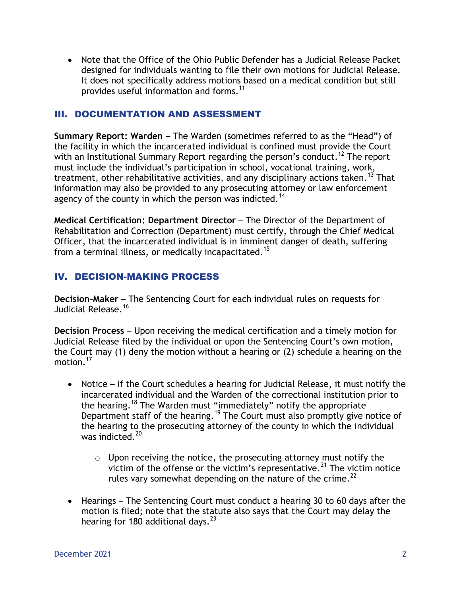Note that the Office of the Ohio Public Defender has a Judicial Release Packet designed for individuals wanting to file their own motions for Judicial Release. It does not specifically address motions based on a medical condition but still provides useful information and forms.<sup>11</sup>

### III. DOCUMENTATION AND ASSESSMENT

**Summary Report: Warden** – The Warden (sometimes referred to as the "Head") of the facility in which the incarcerated individual is confined must provide the Court with an Institutional Summary Report regarding the person's conduct.<sup>12</sup> The report must include the individual's participation in school, vocational training, work, treatment, other rehabilitative activities, and any disciplinary actions taken.<sup>13</sup> That information may also be provided to any prosecuting attorney or law enforcement agency of the county in which the person was indicted.<sup>14</sup>

**Medical Certification: Department Director** – The Director of the Department of Rehabilitation and Correction (Department) must certify, through the Chief Medical Officer, that the incarcerated individual is in imminent danger of death, suffering from a terminal illness, or medically incapacitated.<sup>15</sup>

## IV. DECISION-MAKING PROCESS

**Decision-Maker** – The Sentencing Court for each individual rules on requests for Judicial Release.<sup>16</sup>

**Decision Process** – Upon receiving the medical certification and a timely motion for Judicial Release filed by the individual or upon the Sentencing Court's own motion, the Court may (1) deny the motion without a hearing or (2) schedule a hearing on the motion. $^{17}$ 

- Notice If the Court schedules a hearing for Judicial Release, it must notify the incarcerated individual and the Warden of the correctional institution prior to the hearing.<sup>18</sup> The Warden must "immediately" notify the appropriate Department staff of the hearing.<sup>19</sup> The Court must also promptly give notice of the hearing to the prosecuting attorney of the county in which the individual was indicted.<sup>20</sup>
	- $\circ$  Upon receiving the notice, the prosecuting attorney must notify the victim of the offense or the victim's representative.<sup>21</sup> The victim notice rules vary somewhat depending on the nature of the crime.<sup>22</sup>
- Hearings The Sentencing Court must conduct a hearing 30 to 60 days after the motion is filed; note that the statute also says that the Court may delay the hearing for 180 additional days.  $23$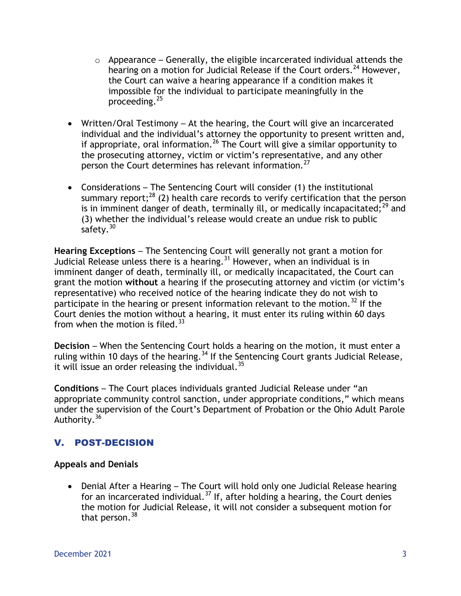- $\circ$  Appearance Generally, the eligible incarcerated individual attends the hearing on a motion for Judicial Release if the Court orders.<sup>24</sup> However, the Court can waive a hearing appearance if a condition makes it impossible for the individual to participate meaningfully in the proceeding.<sup>25</sup>
- Written/Oral Testimony At the hearing, the Court will give an incarcerated individual and the individual's attorney the opportunity to present written and, if appropriate, oral information.<sup>26</sup> The Court will give a similar opportunity to the prosecuting attorney, victim or victim's representative, and any other person the Court determines has relevant information.<sup>27</sup>
- Considerations The Sentencing Court will consider (1) the institutional summary report; $^{28}$  (2) health care records to verify certification that the person is in imminent danger of death, terminally ill, or medically incapacitated; $^{29}$  and (3) whether the individual's release would create an undue risk to public safety. $30$

**Hearing Exceptions** – The Sentencing Court will generally not grant a motion for Judicial Release unless there is a hearing.<sup>31</sup> However, when an individual is in imminent danger of death, terminally ill, or medically incapacitated, the Court can grant the motion **without** a hearing if the prosecuting attorney and victim (or victim's representative) who received notice of the hearing indicate they do not wish to participate in the hearing or present information relevant to the motion.<sup>32</sup> If the Court denies the motion without a hearing, it must enter its ruling within 60 days from when the motion is filed. $^{33}$ 

**Decision** – When the Sentencing Court holds a hearing on the motion, it must enter a ruling within 10 days of the hearing.<sup>34</sup> If the Sentencing Court grants Judicial Release, it will issue an order releasing the individual.<sup>35</sup>

**Conditions** – The Court places individuals granted Judicial Release under "an appropriate community control sanction, under appropriate conditions," which means under the supervision of the Court's Department of Probation or the Ohio Adult Parole Authority. <sup>36</sup>

# V. POST-DECISION

### **Appeals and Denials**

 Denial After a Hearing – The Court will hold only one Judicial Release hearing for an incarcerated individual.<sup>37</sup> If, after holding a hearing, the Court denies the motion for Judicial Release, it will not consider a subsequent motion for that person.<sup>38</sup>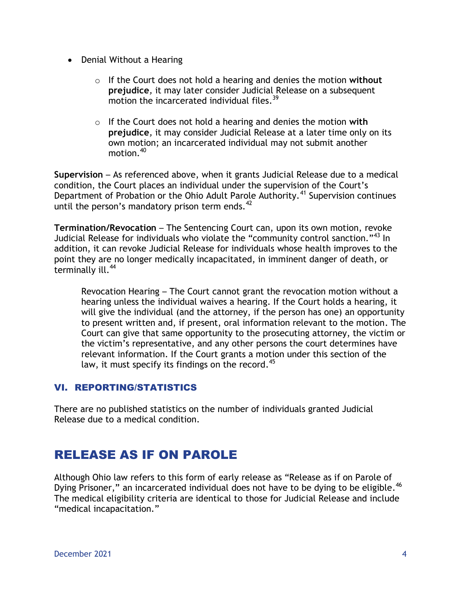- Denial Without a Hearing
	- o If the Court does not hold a hearing and denies the motion **without prejudice***,* it may later consider Judicial Release on a subsequent motion the incarcerated individual files.<sup>39</sup>
	- o If the Court does not hold a hearing and denies the motion **with prejudice***,* it may consider Judicial Release at a later time only on its own motion; an incarcerated individual may not submit another motion.<sup>40</sup>

**Supervision** – As referenced above, when it grants Judicial Release due to a medical condition, the Court places an individual under the supervision of the Court's Department of Probation or the Ohio Adult Parole Authority.<sup>41</sup> Supervision continues until the person's mandatory prison term ends. $42$ 

**Termination/Revocation** – The Sentencing Court can, upon its own motion, revoke Judicial Release for individuals who violate the "community control sanction."<sup>43</sup> In addition, it can revoke Judicial Release for individuals whose health improves to the point they are no longer medically incapacitated, in imminent danger of death, or terminally ill.<sup>44</sup>

Revocation Hearing – The Court cannot grant the revocation motion without a hearing unless the individual waives a hearing. If the Court holds a hearing, it will give the individual (and the attorney, if the person has one) an opportunity to present written and, if present, oral information relevant to the motion. The Court can give that same opportunity to the prosecuting attorney, the victim or the victim's representative, and any other persons the court determines have relevant information. If the Court grants a motion under this section of the law, it must specify its findings on the record.  $45$ 

# VI. REPORTING/STATISTICS

There are no published statistics on the number of individuals granted Judicial Release due to a medical condition.

# RELEASE AS IF ON PAROLE

Although Ohio law refers to this form of early release as "Release as if on Parole of Dying Prisoner," an incarcerated individual does not have to be dying to be eligible.<sup>46</sup> The medical eligibility criteria are identical to those for Judicial Release and include "medical incapacitation."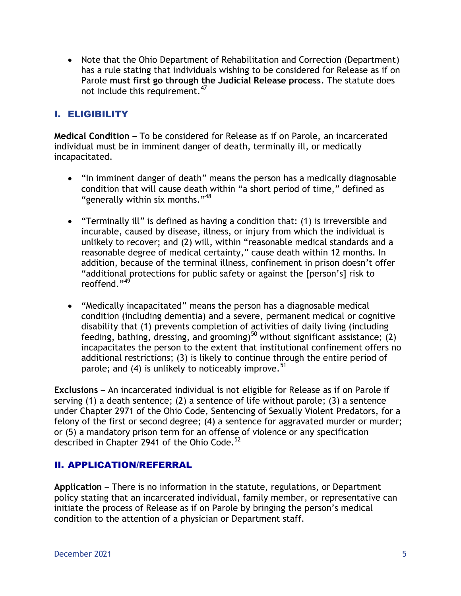• Note that the Ohio Department of Rehabilitation and Correction (Department) has a rule stating that individuals wishing to be considered for Release as if on Parole **must first go through the Judicial Release process**. The statute does not include this requirement.<sup>47</sup>

# I. ELIGIBILITY

**Medical Condition** – To be considered for Release as if on Parole, an incarcerated individual must be in imminent danger of death, terminally ill, or medically incapacitated.

- "In imminent danger of death" means the person has a medically diagnosable condition that will cause death within "a short period of time," defined as "generally within six months."<sup>48</sup>
- "Terminally ill" is defined as having a condition that: (1) is irreversible and incurable, caused by disease, illness, or injury from which the individual is unlikely to recover; and (2) will, within "reasonable medical standards and a reasonable degree of medical certainty," cause death within 12 months. In addition, because of the terminal illness, confinement in prison doesn't offer "additional protections for public safety or against the [person's] risk to reoffend."<sup>49</sup>
- "Medically incapacitated" means the person has a diagnosable medical condition (including dementia) and a severe, permanent medical or cognitive disability that (1) prevents completion of activities of daily living (including feeding, bathing, dressing, and grooming)<sup>50</sup> without significant assistance; (2) incapacitates the person to the extent that institutional confinement offers no additional restrictions; (3) is likely to continue through the entire period of parole; and (4) is unlikely to noticeably improve.  $51$

**Exclusions** – An incarcerated individual is not eligible for Release as if on Parole if serving (1) a death sentence; (2) a sentence of life without parole; (3) a sentence under Chapter 2971 of the Ohio Code, Sentencing of Sexually Violent Predators, for a felony of the first or second degree; (4) a sentence for aggravated murder or murder; or (5) a mandatory prison term for an offense of violence or any specification described in Chapter 2941 of the Ohio Code.<sup>52</sup>

### II. APPLICATION/REFERRAL

**Application** – There is no information in the statute, regulations, or Department policy stating that an incarcerated individual, family member, or representative can initiate the process of Release as if on Parole by bringing the person's medical condition to the attention of a physician or Department staff.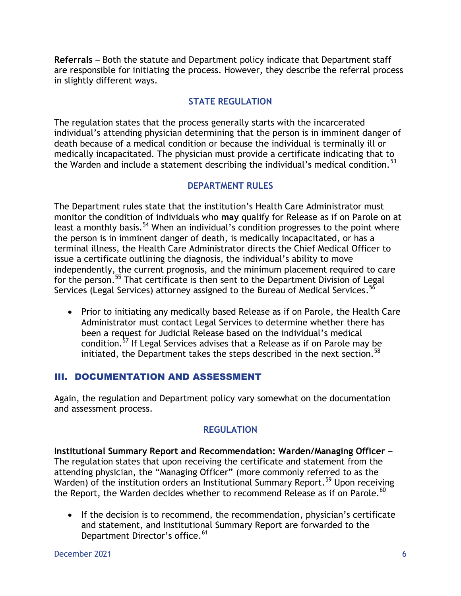**Referrals** – Both the statute and Department policy indicate that Department staff are responsible for initiating the process. However, they describe the referral process in slightly different ways.

## **STATE REGULATION**

The regulation states that the process generally starts with the incarcerated individual's attending physician determining that the person is in imminent danger of death because of a medical condition or because the individual is terminally ill or medically incapacitated. The physician must provide a certificate indicating that to the Warden and include a statement describing the individual's medical condition.<sup>53</sup>

### **DEPARTMENT RULES**

The Department rules state that the institution's Health Care Administrator must monitor the condition of individuals who **may** qualify for Release as if on Parole on at least a monthly basis.<sup>54</sup> When an individual's condition progresses to the point where the person is in imminent danger of death, is medically incapacitated, or has a terminal illness, the Health Care Administrator directs the Chief Medical Officer to issue a certificate outlining the diagnosis, the individual's ability to move independently, the current prognosis, and the minimum placement required to care for the person.<sup>55</sup> That certificate is then sent to the Department Division of Legal Services (Legal Services) attorney assigned to the Bureau of Medical Services.  $^{56}$ 

 Prior to initiating any medically based Release as if on Parole, the Health Care Administrator must contact Legal Services to determine whether there has been a request for Judicial Release based on the individual's medical condition.<sup>57</sup> If Legal Services advises that a Release as if on Parole may be initiated, the Department takes the steps described in the next section.<sup>58</sup>

### III. DOCUMENTATION AND ASSESSMENT

Again, the regulation and Department policy vary somewhat on the documentation and assessment process.

### **REGULATION**

**Institutional Summary Report and Recommendation: Warden/Managing Officer** – The regulation states that upon receiving the certificate and statement from the attending physician, the "Managing Officer" (more commonly referred to as the Warden) of the institution orders an Institutional Summary Report.<sup>59</sup> Upon receiving the Report, the Warden decides whether to recommend Release as if on Parole.<sup>60</sup>

• If the decision is to recommend, the recommendation, physician's certificate and statement, and Institutional Summary Report are forwarded to the Department Director's office.<sup>61</sup>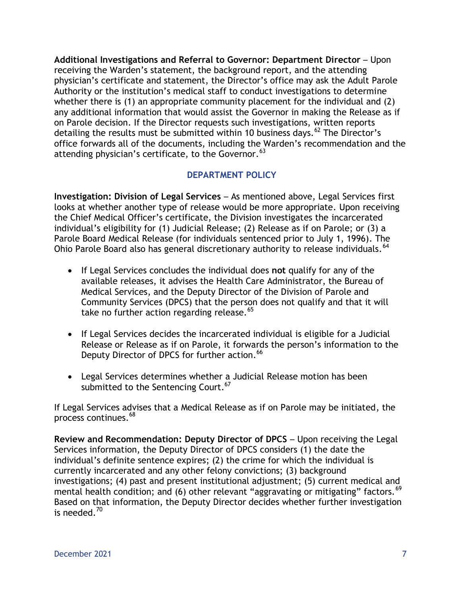**Additional Investigations and Referral to Governor: Department Director** – Upon receiving the Warden's statement, the background report, and the attending physician's certificate and statement, the Director's office may ask the Adult Parole Authority or the institution's medical staff to conduct investigations to determine whether there is (1) an appropriate community placement for the individual and (2) any additional information that would assist the Governor in making the Release as if on Parole decision. If the Director requests such investigations, written reports detailing the results must be submitted within 10 business days.  $62$  The Director's office forwards all of the documents, including the Warden's recommendation and the attending physician's certificate, to the Governor.  $^{63}$ 

### **DEPARTMENT POLICY**

**Investigation: Division of Legal Services** – As mentioned above, Legal Services first looks at whether another type of release would be more appropriate. Upon receiving the Chief Medical Officer's certificate, the Division investigates the incarcerated individual's eligibility for (1) Judicial Release; (2) Release as if on Parole; or (3) a Parole Board Medical Release (for individuals sentenced prior to July 1, 1996). The Ohio Parole Board also has general discretionary authority to release individuals.<sup>64</sup>

- If Legal Services concludes the individual does **not** qualify for any of the available releases, it advises the Health Care Administrator, the Bureau of Medical Services, and the Deputy Director of the Division of Parole and Community Services (DPCS) that the person does not qualify and that it will take no further action regarding release.<sup>65</sup>
- If Legal Services decides the incarcerated individual is eligible for a Judicial Release or Release as if on Parole, it forwards the person's information to the Deputy Director of DPCS for further action.<sup>66</sup>
- Legal Services determines whether a Judicial Release motion has been submitted to the Sentencing Court.<sup>67</sup>

If Legal Services advises that a Medical Release as if on Parole may be initiated, the process continues. 68

**Review and Recommendation: Deputy Director of DPCS** – Upon receiving the Legal Services information, the Deputy Director of DPCS considers (1) the date the individual's definite sentence expires; (2) the crime for which the individual is currently incarcerated and any other felony convictions; (3) background investigations; (4) past and present institutional adjustment; (5) current medical and mental health condition; and (6) other relevant "aggravating or mitigating" factors.<sup>69</sup> Based on that information, the Deputy Director decides whether further investigation is needed.<sup>70</sup>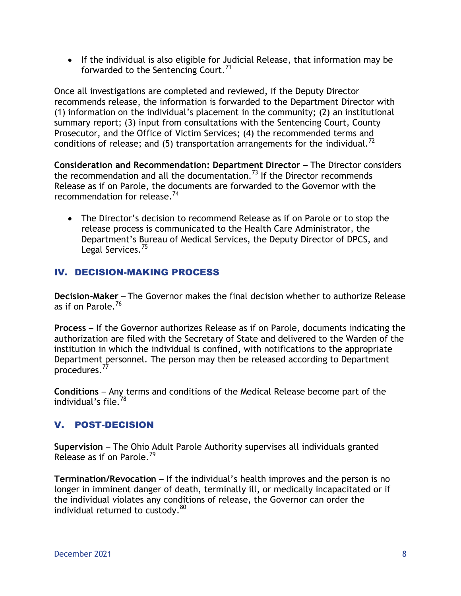If the individual is also eligible for Judicial Release, that information may be forwarded to the Sentencing Court.<sup>71</sup>

Once all investigations are completed and reviewed, if the Deputy Director recommends release, the information is forwarded to the Department Director with (1) information on the individual's placement in the community; (2) an institutional summary report; (3) input from consultations with the Sentencing Court, County Prosecutor, and the Office of Victim Services; (4) the recommended terms and conditions of release; and (5) transportation arrangements for the individual.<sup>72</sup>

**Consideration and Recommendation: Department Director** – The Director considers the recommendation and all the documentation.<sup>73</sup> If the Director recommends Release as if on Parole, the documents are forwarded to the Governor with the recommendation for release.<sup>74</sup>

 The Director's decision to recommend Release as if on Parole or to stop the release process is communicated to the Health Care Administrator, the Department's Bureau of Medical Services, the Deputy Director of DPCS, and Legal Services.<sup>75</sup>

# IV. DECISION-MAKING PROCESS

**Decision-Maker** – The Governor makes the final decision whether to authorize Release as if on Parole.<sup>76</sup>

**Process** – If the Governor authorizes Release as if on Parole, documents indicating the authorization are filed with the Secretary of State and delivered to the Warden of the institution in which the individual is confined, with notifications to the appropriate Department personnel. The person may then be released according to Department procedures.<sup>77</sup>

**Conditions** – Any terms and conditions of the Medical Release become part of the individual's file.<sup>78</sup>

# V. POST-DECISION

**Supervision** – The Ohio Adult Parole Authority supervises all individuals granted Release as if on Parole.<sup>79</sup>

**Termination/Revocation** – If the individual's health improves and the person is no longer in imminent danger of death, terminally ill, or medically incapacitated or if the individual violates any conditions of release, the Governor can order the individual returned to custody.<sup>80</sup>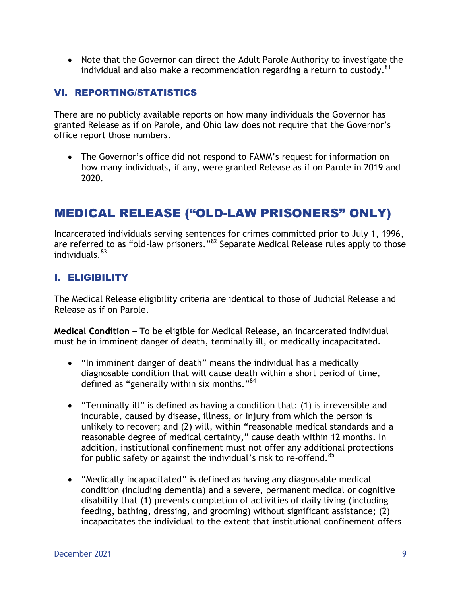Note that the Governor can direct the Adult Parole Authority to investigate the individual and also make a recommendation regarding a return to custody.<sup>81</sup>

### VI. REPORTING/STATISTICS

There are no publicly available reports on how many individuals the Governor has granted Release as if on Parole, and Ohio law does not require that the Governor's office report those numbers.

 The Governor's office did not respond to FAMM's request for information on how many individuals, if any, were granted Release as if on Parole in 2019 and 2020.

# MEDICAL RELEASE ("OLD-LAW PRISONERS" ONLY)

Incarcerated individuals serving sentences for crimes committed prior to July 1, 1996, are referred to as "old-law prisoners."<sup>82</sup> Separate Medical Release rules apply to those individuals. 83

## I. ELIGIBILITY

The Medical Release eligibility criteria are identical to those of Judicial Release and Release as if on Parole.

**Medical Condition** – To be eligible for Medical Release, an incarcerated individual must be in imminent danger of death, terminally ill, or medically incapacitated.

- "In imminent danger of death" means the individual has a medically diagnosable condition that will cause death within a short period of time, defined as "generally within six months."<sup>84</sup>
- "Terminally ill" is defined as having a condition that: (1) is irreversible and incurable, caused by disease, illness, or injury from which the person is unlikely to recover; and (2) will, within "reasonable medical standards and a reasonable degree of medical certainty," cause death within 12 months. In addition, institutional confinement must not offer any additional protections for public safety or against the individual's risk to re-offend. $85$
- "Medically incapacitated" is defined as having any diagnosable medical condition (including dementia) and a severe, permanent medical or cognitive disability that (1) prevents completion of activities of daily living (including feeding, bathing, dressing, and grooming) without significant assistance; (2) incapacitates the individual to the extent that institutional confinement offers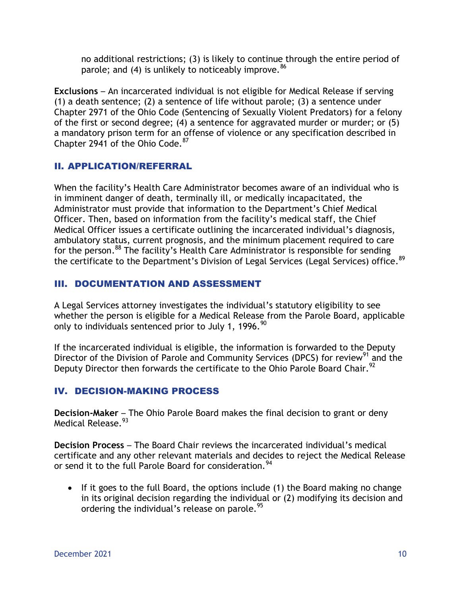no additional restrictions; (3) is likely to continue through the entire period of parole; and (4) is unlikely to noticeably improve.  $86$ 

**Exclusions** – An incarcerated individual is not eligible for Medical Release if serving (1) a death sentence; (2) a sentence of life without parole; (3) a sentence under Chapter 2971 of the Ohio Code (Sentencing of Sexually Violent Predators) for a felony of the first or second degree; (4) a sentence for aggravated murder or murder; or (5) a mandatory prison term for an offense of violence or any specification described in Chapter 2941 of the Ohio Code. 87

## II. APPLICATION/REFERRAL

When the facility's Health Care Administrator becomes aware of an individual who is in imminent danger of death, terminally ill, or medically incapacitated, the Administrator must provide that information to the Department's Chief Medical Officer. Then, based on information from the facility's medical staff, the Chief Medical Officer issues a certificate outlining the incarcerated individual's diagnosis, ambulatory status, current prognosis, and the minimum placement required to care for the person.<sup>88</sup> The facility's Health Care Administrator is responsible for sending the certificate to the Department's Division of Legal Services (Legal Services) office.<sup>89</sup>

## III. DOCUMENTATION AND ASSESSMENT

A Legal Services attorney investigates the individual's statutory eligibility to see whether the person is eligible for a Medical Release from the Parole Board, applicable only to individuals sentenced prior to July 1, 1996. $90$ 

If the incarcerated individual is eligible, the information is forwarded to the Deputy Director of the Division of Parole and Community Services (DPCS) for review<sup>91</sup> and the Deputy Director then forwards the certificate to the Ohio Parole Board Chair.<sup>92</sup>

# IV. DECISION-MAKING PROCESS

**Decision-Maker** – The Ohio Parole Board makes the final decision to grant or deny Medical Release.<sup>93</sup>

**Decision Process** – The Board Chair reviews the incarcerated individual's medical certificate and any other relevant materials and decides to reject the Medical Release or send it to the full Parole Board for consideration.<sup>94</sup>

 If it goes to the full Board, the options include (1) the Board making no change in its original decision regarding the individual or (2) modifying its decision and ordering the individual's release on parole.<sup>95</sup>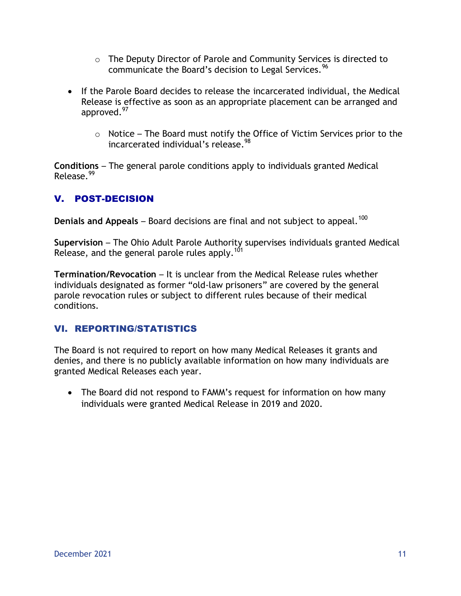- o The Deputy Director of Parole and Community Services is directed to communicate the Board's decision to Legal Services.<sup>96</sup>
- If the Parole Board decides to release the incarcerated individual, the Medical Release is effective as soon as an appropriate placement can be arranged and approved.<sup>97</sup>
	- $\circ$  Notice The Board must notify the Office of Victim Services prior to the incarcerated individual's release.<sup>98</sup>

**Conditions** – The general parole conditions apply to individuals granted Medical Release<sup>99</sup>

# V. POST-DECISION

**Denials and Appeals** – Board decisions are final and not subject to appeal.<sup>100</sup>

**Supervision** – The Ohio Adult Parole Authority supervises individuals granted Medical Release, and the general parole rules apply.<sup>101</sup>

**Termination/Revocation** – It is unclear from the Medical Release rules whether individuals designated as former "old-law prisoners" are covered by the general parole revocation rules or subject to different rules because of their medical conditions.

# VI. REPORTING/STATISTICS

The Board is not required to report on how many Medical Releases it grants and denies, and there is no publicly available information on how many individuals are granted Medical Releases each year.

• The Board did not respond to FAMM's request for information on how many individuals were granted Medical Release in 2019 and 2020.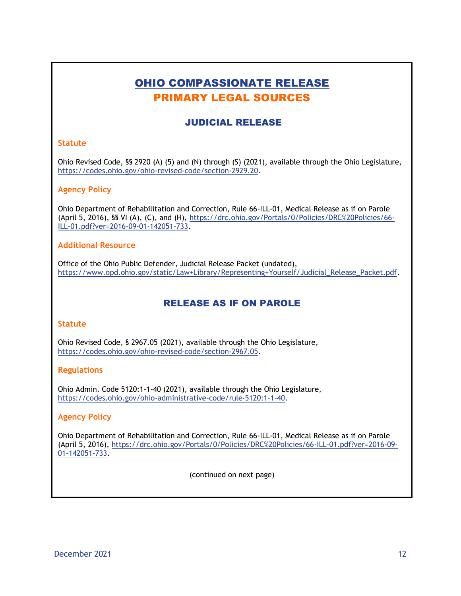# OHIO COMPASSIONATE RELEASE PRIMARY LEGAL SOURCES

## JUDICIAL RELEASE

#### **Statute**

Ohio Revised Code, §§ 2920 (A) (5) and (N) through (S) (2021), available through the Ohio Legislature, https://codes.ohio.gov/ohio-revised-code/section-2929.20.

#### **Agency Policy**

Ohio Department of Rehabilitation and Correction, Rule 66-ILL-01, Medical Release as if on Parole (April 5, 2016), §§ VI (A), (C), and (H), [https://drc.ohio.gov/Portals/0/Policies/DRC%20Policies/66-](https://drc.ohio.gov/Portals/0/Policies/DRC%20Policies/66-ILL-01.pdf?ver=2016-09-01-142051-733) [ILL-01.pdf?ver=2016-09-01-142051-733.](https://drc.ohio.gov/Portals/0/Policies/DRC%20Policies/66-ILL-01.pdf?ver=2016-09-01-142051-733)

### **Additional Resource**

Office of the Ohio Public Defender, Judicial Release Packet (undated), [https://www.opd.ohio.gov/static/Law+Library/Representing+Yourself/Judicial\\_Release\\_Packet.pdf.](https://www.opd.ohio.gov/static/Law+Library/Representing+Yourself/Judicial_Release_Packet.pdf)

### RELEASE AS IF ON PAROLE

#### **Statute**

Ohio Revised Code, § 2967.05 (2021), available through the Ohio Legislature, [https://codes.ohio.gov/ohio-revised-code/section-2967.05.](https://codes.ohio.gov/ohio-revised-code/section-2967.05)

#### **Regulations**

Ohio Admin. Code 5120:1-1-40 (2021), available through the Ohio Legislature, [https://codes.ohio.gov/ohio-administrative-code/rule-5120:1-1-40.](https://codes.ohio.gov/ohio-administrative-code/rule-5120:1-1-40)

#### **Agency Policy**

Ohio Department of Rehabilitation and Correction, Rule 66-ILL-01, Medical Release as if on Parole (April 5, 2016), https://drc.ohio.gov/Portals/0/Policies/DRC%20Policies/66-ILL-01.pdf?ver=2016-09- 01-142051-733.

(continued on next page)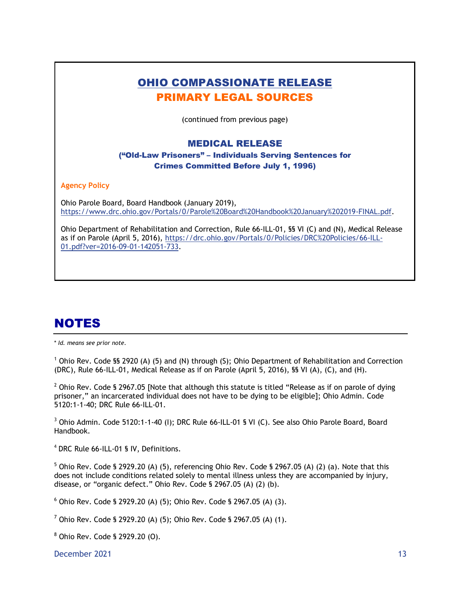| <b>OHIO COMPASSIONATE RELEASE</b><br><b>PRIMARY LEGAL SOURCES</b>                                                                                                                                                                            |
|----------------------------------------------------------------------------------------------------------------------------------------------------------------------------------------------------------------------------------------------|
|                                                                                                                                                                                                                                              |
| (continued from previous page)                                                                                                                                                                                                               |
| <b>MEDICAL RELEASE</b>                                                                                                                                                                                                                       |
| ("Old-Law Prisoners" – Individuals Serving Sentences for                                                                                                                                                                                     |
| <b>Crimes Committed Before July 1, 1996)</b>                                                                                                                                                                                                 |
| <b>Agency Policy</b>                                                                                                                                                                                                                         |
| Ohio Parole Board, Board Handbook (January 2019),<br>https://www.drc.ohio.gov/Portals/0/Parole%20Board%20Handbook%20January%202019-FINAL.pdf.                                                                                                |
| Ohio Department of Rehabilitation and Correction, Rule 66-ILL-01, SS VI (C) and (N), Medical Release<br>as if on Parole (April 5, 2016), https://drc.ohio.gov/Portals/0/Policies/DRC%20Policies/66-ILL-<br>01.pdf?ver=2016-09-01-142051-733. |
|                                                                                                                                                                                                                                              |

# **NOTES**

\* *Id. means see prior note.*

 $1$  Ohio Rev. Code §§ 2920 (A) (5) and (N) through (S); Ohio Department of Rehabilitation and Correction (DRC), Rule 66-ILL-01, Medical Release as if on Parole (April 5, 2016), §§ VI (A), (C), and (H).

 $2$  Ohio Rev. Code § 2967.05 [Note that although this statute is titled "Release as if on parole of dying prisoner," an incarcerated individual does not have to be dying to be eligible]; Ohio Admin. Code 5120:1-1-40; DRC Rule 66-ILL-01.

<sup>3</sup> Ohio Admin. Code 5120:1-1-40 (I); DRC Rule 66-ILL-01 § VI (C). See also Ohio Parole Board, Board Handbook.

4 DRC Rule 66-ILL-01 § IV, Definitions.

 $5$  Ohio Rev. Code § 2929.20 (A) (5), referencing Ohio Rev. Code § 2967.05 (A) (2) (a). Note that this does not include conditions related solely to mental illness unless they are accompanied by injury, disease, or "organic defect." Ohio Rev. Code § 2967.05 (A) (2) (b).

 $6$  Ohio Rev. Code § 2929.20 (A) (5); Ohio Rev. Code § 2967.05 (A) (3).

<sup>7</sup> Ohio Rev. Code § 2929.20 (A) (5); Ohio Rev. Code § 2967.05 (A) (1).

<sup>8</sup> Ohio Rev. Code § 2929.20 (O).

December 2021 13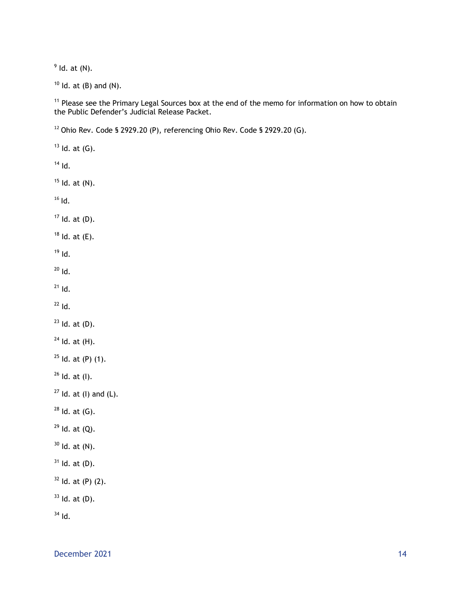$<sup>9</sup>$  ld. at (N).</sup>

Id. at (B) and (N).

 Please see the Primary Legal Sources box at the end of the memo for information on how to obtain the Public Defender's Judicial Release Packet.

Ohio Rev. Code § 2929.20 (P), referencing Ohio Rev. Code § 2929.20 (G).

 Id. at (G). Id. Id. at (N). Id. Id. at (D). Id. at  $(E)$ . Id. Id.  $^{21}$  Id.  $^{22}$  Id. Id. at  $(D)$ . Id. at (H). Id. at (P) (1). Id. at (I). Id. at (I) and (L). Id. at (G). Id. at (Q). Id. at (N). Id. at (D). ld. at (P) (2). Id. at (D). Id.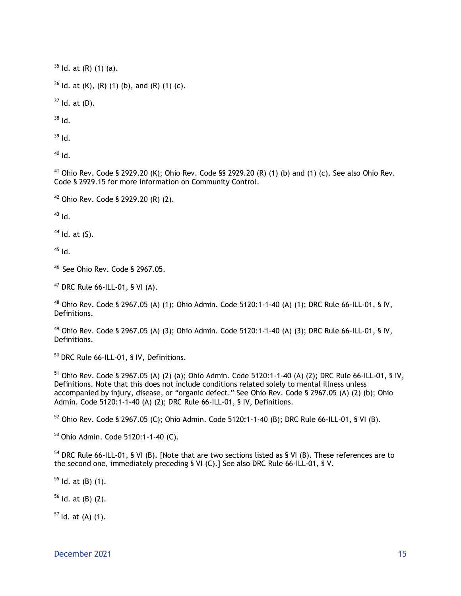$35$  ld. at (R) (1) (a).

 $36$  ld. at (K), (R) (1) (b), and (R) (1) (c).

 $37$  Id. at (D).

 $38$  Id.

 $39$  Id.

 $h^{10}$ 

<sup>41</sup> Ohio Rev. Code § 2929.20 (K); Ohio Rev. Code §§ 2929.20 (R) (1) (b) and (1) (c). See also Ohio Rev. Code § 2929.15 for more information on Community Control.

<sup>42</sup> Ohio Rev. Code § 2929.20 (R) (2).

 $43$  Id.

 $44$  Id. at  $(S)$ .

 $45$  Id.

<sup>46</sup> See Ohio Rev. Code § 2967.05.

 $47$  DRC Rule 66-ILL-01, § VI (A).

 $48$  Ohio Rev. Code § 2967.05 (A) (1); Ohio Admin. Code 5120:1-1-40 (A) (1); DRC Rule 66-ILL-01, § IV, Definitions.

<sup>49</sup> Ohio Rev. Code § 2967.05 (A) (3); Ohio Admin. Code 5120:1-1-40 (A) (3); DRC Rule 66-ILL-01, § IV, Definitions.

<sup>50</sup> DRC Rule 66-ILL-01, § IV, Definitions.

 $51$  Ohio Rev. Code § 2967.05 (A) (2) (a); Ohio Admin. Code 5120:1-1-40 (A) (2); DRC Rule 66-ILL-01, § IV, Definitions. Note that this does not include conditions related solely to mental illness unless accompanied by injury, disease, or "organic defect." See Ohio Rev. Code § 2967.05 (A) (2) (b); Ohio Admin. Code 5120:1-1-40 (A) (2); DRC Rule 66-ILL-01, § IV, Definitions.

<sup>52</sup> Ohio Rev. Code § 2967.05 (C); Ohio Admin. Code 5120:1-1-40 (B); DRC Rule 66-ILL-01, § VI (B).

<sup>53</sup> Ohio Admin. Code 5120:1-1-40 (C).

<sup>54</sup> DRC Rule 66-ILL-01, § VI (B). [Note that are two sections listed as § VI (B). These references are to the second one, immediately preceding § VI (C).] See also DRC Rule 66-ILL-01, § V.

 $55$  ld. at (B) (1).

 $56$  Id. at (B) (2).

 $57$  Id. at (A) (1).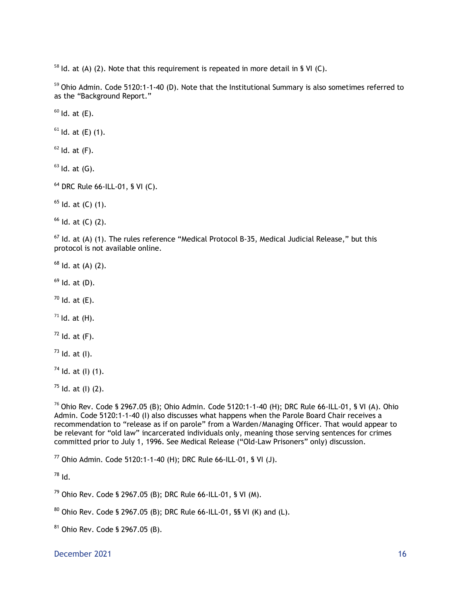Id. at (A) (2). Note that this requirement is repeated in more detail in § VI (C).

<sup>59</sup> Ohio Admin. Code 5120:1-1-40 (D). Note that the Institutional Summary is also sometimes referred to as the "Background Report."

Id. at  $(E)$ .

Id. at (E) (1).

Id. at  $(F)$ .

Id. at  $(G)$ .

DRC Rule 66-ILL-01, § VI (C).

Id. at (C) (1).

Id. at (C) (2).

 ld. at (A) (1). The rules reference "Medical Protocol B-35, Medical Judicial Release," but this protocol is not available online.

Id. at (A) (2).

Id. at (D).

Id. at  $(E)$ .

Id. at  $(H)$ .

Id. at  $(F)$ .

ld. at (l).

Id. at (I) (1).

 $^{75}$  ld. at (l) (2).

 Ohio Rev. Code § 2967.05 (B); Ohio Admin. Code 5120:1-1-40 (H); DRC Rule 66-ILL-01, § VI (A). Ohio Admin. Code 5120:1-1-40 (I) also discusses what happens when the Parole Board Chair receives a recommendation to "release as if on parole" from a Warden/Managing Officer. That would appear to be relevant for "old law" incarcerated individuals only, meaning those serving sentences for crimes committed prior to July 1, 1996. See Medical Release ("Old-Law Prisoners" only) discussion.

Ohio Admin. Code 5120:1-1-40 (H); DRC Rule 66-ILL-01, § VI (J).

Id.

Ohio Rev. Code § 2967.05 (B); DRC Rule 66-ILL-01, § VI (M).

Ohio Rev. Code § 2967.05 (B); DRC Rule 66-ILL-01, §§ VI (K) and (L).

Ohio Rev. Code § 2967.05 (B).